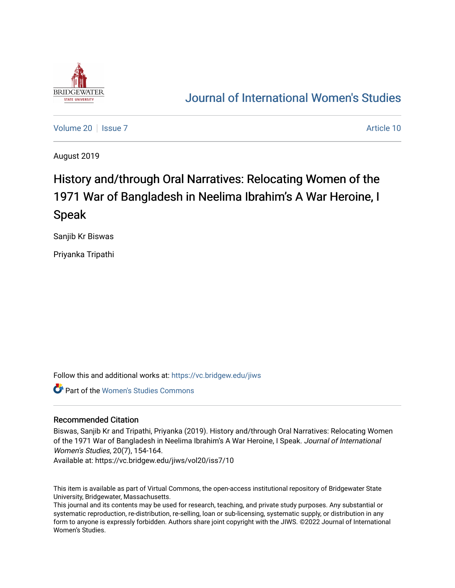

# [Journal of International Women's Studies](https://vc.bridgew.edu/jiws)

[Volume 20](https://vc.bridgew.edu/jiws/vol20) | [Issue 7](https://vc.bridgew.edu/jiws/vol20/iss7) Article 10

August 2019

# History and/through Oral Narratives: Relocating Women of the 1971 War of Bangladesh in Neelima Ibrahim's A War Heroine, I Speak

Sanjib Kr Biswas

Priyanka Tripathi

Follow this and additional works at: [https://vc.bridgew.edu/jiws](https://vc.bridgew.edu/jiws?utm_source=vc.bridgew.edu%2Fjiws%2Fvol20%2Fiss7%2F10&utm_medium=PDF&utm_campaign=PDFCoverPages)

Part of the [Women's Studies Commons](http://network.bepress.com/hgg/discipline/561?utm_source=vc.bridgew.edu%2Fjiws%2Fvol20%2Fiss7%2F10&utm_medium=PDF&utm_campaign=PDFCoverPages) 

#### Recommended Citation

Biswas, Sanjib Kr and Tripathi, Priyanka (2019). History and/through Oral Narratives: Relocating Women of the 1971 War of Bangladesh in Neelima Ibrahim's A War Heroine, I Speak. Journal of International Women's Studies, 20(7), 154-164.

Available at: https://vc.bridgew.edu/jiws/vol20/iss7/10

This item is available as part of Virtual Commons, the open-access institutional repository of Bridgewater State University, Bridgewater, Massachusetts.

This journal and its contents may be used for research, teaching, and private study purposes. Any substantial or systematic reproduction, re-distribution, re-selling, loan or sub-licensing, systematic supply, or distribution in any form to anyone is expressly forbidden. Authors share joint copyright with the JIWS. ©2022 Journal of International Women's Studies.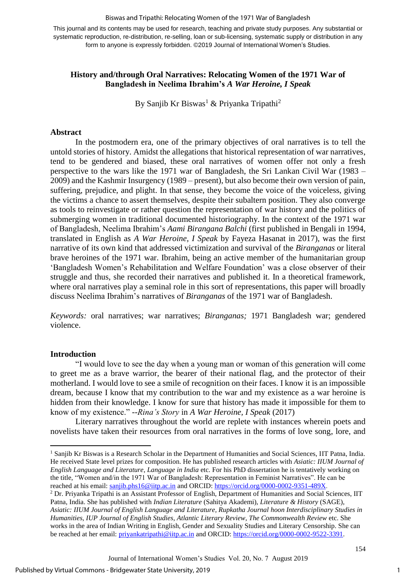#### Biswas and Tripathi: Relocating Women of the 1971 War of Bangladesh

This journal and its contents may be used for research, teaching and private study purposes. Any substantial or systematic reproduction, re-distribution, re-selling, loan or sub-licensing, systematic supply or distribution in any form to anyone is expressly forbidden. ©2019 Journal of International Women's Studies.

# **History and/through Oral Narratives: Relocating Women of the 1971 War of Bangladesh in Neelima Ibrahim's** *A War Heroine, I Speak*

By Sanjib Kr Biswas<sup>1</sup> & Priyanka Tripathi<sup>2</sup>

## **Abstract**

In the postmodern era, one of the primary objectives of oral narratives is to tell the untold stories of history. Amidst the allegations that historical representation of war narratives, tend to be gendered and biased, these oral narratives of women offer not only a fresh perspective to the wars like the 1971 war of Bangladesh, the Sri Lankan Civil War (1983 – 2009) and the Kashmir Insurgency (1989 – present), but also become their own version of pain, suffering, prejudice, and plight. In that sense, they become the voice of the voiceless, giving the victims a chance to assert themselves, despite their subaltern position. They also converge as tools to reinvestigate or rather question the representation of war history and the politics of submerging women in traditional documented historiography. In the context of the 1971 war of Bangladesh, Neelima Ibrahim's *Aami Birangana Balchi* (first published in Bengali in 1994, translated in English as *A War Heroine, I Speak* by Fayeza Hasanat in 2017), was the first narrative of its own kind that addressed victimization and survival of the *Biranganas* or literal brave heroines of the 1971 war. Ibrahim, being an active member of the humanitarian group 'Bangladesh Women's Rehabilitation and Welfare Foundation' was a close observer of their struggle and thus, she recorded their narratives and published it. In a theoretical framework, where oral narratives play a seminal role in this sort of representations, this paper will broadly discuss Neelima Ibrahim's narratives of *Biranganas* of the 1971 war of Bangladesh.

*Keywords:* oral narratives; war narratives; *Biranganas;* 1971 Bangladesh war; gendered violence.

#### **Introduction**

1

"I would love to see the day when a young man or woman of this generation will come to greet me as a brave warrior, the bearer of their national flag, and the protector of their motherland. I would love to see a smile of recognition on their faces. I know it is an impossible dream, because I know that my contribution to the war and my existence as a war heroine is hidden from their knowledge. I know for sure that history has made it impossible for them to know of my existence." --*Rina's Story* in *A War Heroine, I Speak* (2017)

Literary narratives throughout the world are replete with instances wherein poets and novelists have taken their resources from oral narratives in the forms of love song, lore, and

1

<sup>&</sup>lt;sup>1</sup> Sanjib Kr Biswas is a Research Scholar in the Department of Humanities and Social Sciences, IIT Patna, India. He received State level prizes for composition. He has published research articles with *Asiatic: IIUM Journal of English Language and Literature*, *Language in India* etc. For his PhD dissertation he is tentatively working on the title, "Women and/in the 1971 War of Bangladesh: Representation in Feminist Narratives". He can be reached at his email: [sanjib.phs16@iitp.ac.in](mailto:sanjib.phs16@iitp.ac.in) and ORCID: [https://orcid.org/0000-0002-9351-489X.](https://orcid.org/0000-0002-9351-489X)

<sup>2</sup> Dr. Priyanka Tripathi is an Assistant Professor of English, Department of Humanities and Social Sciences, IIT Patna, India. She has published with *Indian Literature* (Sahitya Akademi), *Literature & History* (SAGE), *Asiatic: IIUM Journal of English Language and Literature, Rupkatha Journal hoon Interdisciplinary Studies in Humanities*, *IUP Journal of English Studies*, *Atlantic Literary Review*, *The Commonwealth Review* etc. She works in the area of Indian Writing in English, Gender and Sexuality Studies and Literary Censorship. She can be reached at her email: [priyankatripathi@iitp.ac.in](mailto:priyankatripathi@iitp.ac.in) and ORCID: [https://orcid.org/0000-0002-9522-3391.](https://orcid.org/0000-0002-9522-3391)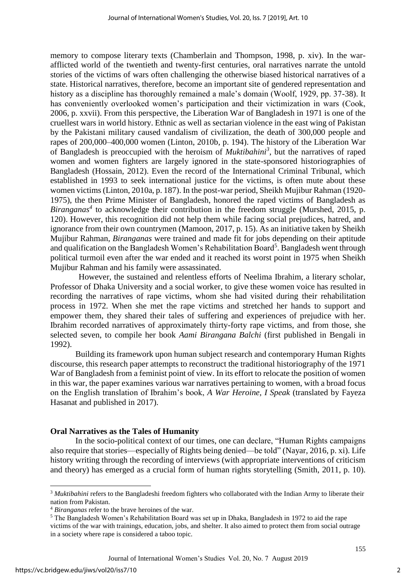memory to compose literary texts (Chamberlain and Thompson, 1998, p. xiv). In the warafflicted world of the twentieth and twenty-first centuries, oral narratives narrate the untold stories of the victims of wars often challenging the otherwise biased historical narratives of a state. Historical narratives, therefore, become an important site of gendered representation and history as a discipline has thoroughly remained a male's domain (Woolf, 1929, pp. 37-38). It has conveniently overlooked women's participation and their victimization in wars (Cook, 2006, p. xxvii). From this perspective, the Liberation War of Bangladesh in 1971 is one of the cruellest wars in world history. Ethnic as well as sectarian violence in the east wing of Pakistan by the Pakistani military caused vandalism of civilization, the death of 300,000 people and rapes of 200,000–400,000 women (Linton, 2010b, p. 194). The history of the Liberation War of Bangladesh is preoccupied with the heroism of *Muktibahini<sup>3</sup>* , but the narratives of raped women and women fighters are largely ignored in the state-sponsored historiographies of Bangladesh (Hossain, 2012). Even the record of the International Criminal Tribunal, which established in 1993 to seek international justice for the victims, is often mute about these women victims (Linton, 2010a, p. 187). In the post-war period, Sheikh Mujibur Rahman (1920- 1975), the then Prime Minister of Bangladesh, honored the raped victims of Bangladesh as *Biranganas<sup>4</sup>* to acknowledge their contribution in the freedom struggle (Murshed, 2015, p. 120). However, this recognition did not help them while facing social prejudices, hatred, and ignorance from their own countrymen (Mamoon, 2017, p. 15). As an initiative taken by Sheikh Mujibur Rahman, *Biranganas* were trained and made fit for jobs depending on their aptitude and qualification on the Bangladesh Women's Rehabilitation Board<sup>5</sup>. Bangladesh went through political turmoil even after the war ended and it reached its worst point in 1975 when Sheikh Mujibur Rahman and his family were assassinated.

However, the sustained and relentless efforts of Neelima Ibrahim, a literary scholar, Professor of Dhaka University and a social worker, to give these women voice has resulted in recording the narratives of rape victims, whom she had visited during their rehabilitation process in 1972. When she met the rape victims and stretched her hands to support and empower them, they shared their tales of suffering and experiences of prejudice with her. Ibrahim recorded narratives of approximately thirty-forty rape victims, and from those, she selected seven, to compile her book *Aami Birangana Balchi* (first published in Bengali in 1992).

Building its framework upon human subject research and contemporary Human Rights discourse, this research paper attempts to reconstruct the traditional historiography of the 1971 War of Bangladesh from a feminist point of view. In its effort to relocate the position of women in this war, the paper examines various war narratives pertaining to women, with a broad focus on the English translation of Ibrahim's book, *A War Heroine, I Speak* (translated by Fayeza Hasanat and published in 2017).

# **Oral Narratives as the Tales of Humanity**

In the socio-political context of our times, one can declare, "Human Rights campaigns also require that stories—especially of Rights being denied—be told" (Nayar, 2016, p. xi). Life history writing through the recording of interviews (with appropriate interventions of criticism and theory) has emerged as a crucial form of human rights storytelling (Smith, 2011, p. 10).

**.** 

<sup>&</sup>lt;sup>3</sup> Muktibahini refers to the Bangladeshi freedom fighters who collaborated with the Indian Army to liberate their nation from Pakistan.

<sup>4</sup> *Biranganas* refer to the brave heroines of the war.

<sup>5</sup> The Bangladesh Women's Rehabilitation Board was set up in Dhaka, Bangladesh in 1972 to aid the rape victims of the war with trainings, education, jobs, and shelter. It also aimed to protect them from social outrage in a society where rape is considered a taboo topic.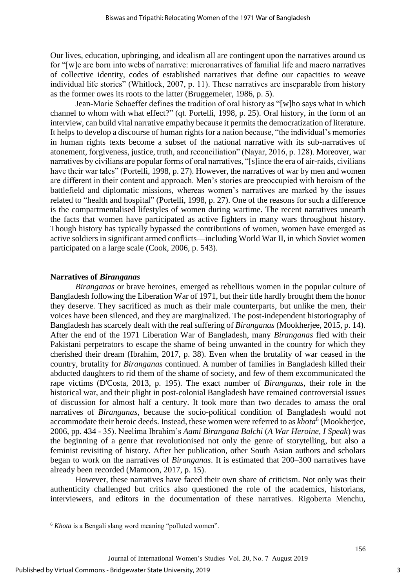Our lives, education, upbringing, and idealism all are contingent upon the narratives around us for "[w]e are born into webs of narrative: micronarratives of familial life and macro narratives of collective identity, codes of established narratives that define our capacities to weave individual life stories" (Whitlock, 2007, p. 11). These narratives are inseparable from history as the former owes its roots to the latter (Bruggemeier, 1986, p. 5).

Jean-Marie Schaeffer defines the tradition of oral history as "[w]ho says what in which channel to whom with what effect?" (qt. Portelli, 1998, p. 25). Oral history, in the form of an interview, can build vital narrative empathy because it permits the democratization of literature. It helps to develop a discourse of human rights for a nation because, "the individual's memories in human rights texts become a subset of the national narrative with its sub-narratives of atonement, forgiveness, justice, truth, and reconciliation" (Nayar, 2016, p. 128). Moreover, war narratives by civilians are popular forms of oral narratives, "[s]ince the era of air-raids, civilians have their war tales" (Portelli, 1998, p. 27). However, the narratives of war by men and women are different in their content and approach. Men's stories are preoccupied with heroism of the battlefield and diplomatic missions, whereas women's narratives are marked by the issues related to "health and hospital" (Portelli, 1998, p. 27). One of the reasons for such a difference is the compartmentalised lifestyles of women during wartime. The recent narratives unearth the facts that women have participated as active fighters in many wars throughout history. Though history has typically bypassed the contributions of women, women have emerged as active soldiers in significant armed conflicts—including World War II, in which Soviet women participated on a large scale (Cook, 2006, p. 543).

# **Narratives of** *Biranganas*

*Biranganas* or brave heroines, emerged as rebellious women in the popular culture of Bangladesh following the Liberation War of 1971, but their title hardly brought them the honor they deserve. They sacrificed as much as their male counterparts, but unlike the men, their voices have been silenced, and they are marginalized. The post-independent historiography of Bangladesh has scarcely dealt with the real suffering of *Biranganas* (Mookherjee, 2015, p. 14). After the end of the 1971 Liberation War of Bangladesh, many *Biranganas* fled with their Pakistani perpetrators to escape the shame of being unwanted in the country for which they cherished their dream (Ibrahim, 2017, p. 38). Even when the brutality of war ceased in the country, brutality for *Biranganas* continued. A number of families in Bangladesh killed their abducted daughters to rid them of the shame of society, and few of them excommunicated the rape victims (D'Costa, 2013, p. 195). The exact number of *Biranganas*, their role in the historical war, and their plight in post-colonial Bangladesh have remained controversial issues of discussion for almost half a century. It took more than two decades to amass the oral narratives of *Biranganas*, because the socio-political condition of Bangladesh would not accommodate their heroic deeds. Instead, these women were referred to as *khota*<sup>6</sup> (Mookherjee, 2006, pp. 434 - 35). Neelima Ibrahim's *Aami Birangana Balchi* (*A War Heroine, I Speak*) was the beginning of a genre that revolutionised not only the genre of storytelling, but also a feminist revisiting of history. After her publication, other South Asian authors and scholars began to work on the narratives of *Biranganas*. It is estimated that 200–300 narratives have already been recorded (Mamoon, 2017, p. 15).

However, these narratives have faced their own share of criticism. Not only was their authenticity challenged but critics also questioned the role of the academics, historians, interviewers, and editors in the documentation of these narratives. Rigoberta Menchu,

<sup>&</sup>lt;sup>6</sup> *Khota* is a Bengali slang word meaning "polluted women".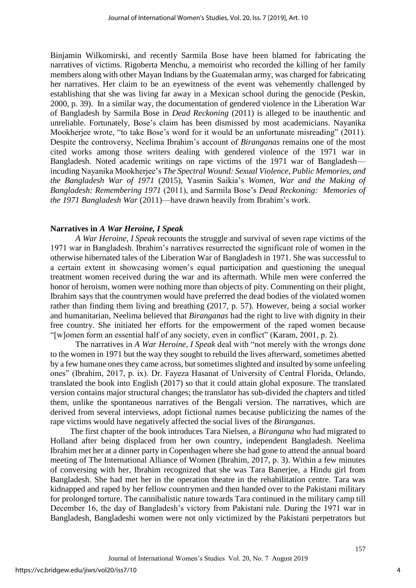Binjamin Wilkomirski, and recently Sarmila Bose have been blamed for fabricating the narratives of victims. Rigoberta Menchu, a memoirist who recorded the killing of her family members along with other Mayan Indians by the Guatemalan army, was charged for fabricating her narratives. Her claim to be an eyewitness of the event was vehemently challenged by establishing that she was living far away in a Mexican school during the genocide (Peskin, 2000, p. 39). In a similar way, the documentation of gendered violence in the Liberation War of Bangladesh by Sarmila Bose in *Dead Reckoning* (2011) is alleged to be inauthentic and unreliable. Fortunately, Bose's claim has been dismissed by most academicians. Nayanika Mookherjee wrote, "to take Bose's word for it would be an unfortunate misreading" (2011). Despite the controversy, Neelima Ibrahim's account of *Biranganas* remains one of the most cited works among those writers dealing with gendered violence of the 1971 war in Bangladesh. Noted academic writings on rape victims of the 1971 war of Bangladesh incuding Nayanika Mookherjee's *The Spectral Wound: Sexual Violence, Public Memories, and the Bangladesh War of 1971* (2015), Yasmin Saikia's *Women, War and the Making of Bangladesh: Remembering 1971* (2011), and Sarmila Bose's *Dead Reckoning: Memories of the 1971 Bangladesh War* (2011)—have drawn heavily from Ibrahim's work.

#### **Narratives in** *A War Heroine, I Speak*

*A War Heroine, I Speak* recounts the struggle and survival of seven rape victims of the 1971 war in Bangladesh. Ibrahim's narratives resurrected the significant role of women in the otherwise hibernated tales of the Liberation War of Bangladesh in 1971. She was successful to a certain extent in showcasing women's equal participation and questioning the unequal treatment women received during the war and its aftermath. While men were conferred the honor of heroism, women were nothing more than objects of pity. Commenting on their plight, Ibrahim says that the countrymen would have preferred the dead bodies of the violated women rather than finding them living and breathing (2017, p. 57). However, being a social worker and humanitarian, Neelima believed that *Biranganas* had the right to live with dignity in their free country. She initiated her efforts for the empowerment of the raped women because "[w]omen form an essential half of any society, even in conflict" (Karam, 2001, p. 2).

The narratives in *A War Heroine, I Speak* deal with "not merely with the wrongs done to the women in 1971 but the way they sought to rebuild the lives afterward, sometimes abetted by a few humane onesthey came across, but sometimes slighted and insulted by some unfeeling ones" (Ibrahim, 2017, p. ix). Dr. Fayeza Hasanat of University of Central Florida, Orlando, translated the book into English (2017) so that it could attain global exposure. The translated version contains major structural changes; the translator has sub-divided the chapters and titled them, unlike the spontaneous narratives of the Bengali version. The narratives, which are derived from several interviews, adopt fictional names because publicizing the names of the rape victims would have negatively affected the social lives of the *Biranganas*.

The first chapter of the book introduces Tara Nielsen, a *Birangana* who had migrated to Holland after being displaced from her own country, independent Bangladesh. Neelima Ibrahim met her at a dinner party in Copenhagen where she had gone to attend the annual board meeting of The International Alliance of Women (Ibrahim, 2017, p. 3). Within a few minutes of conversing with her, Ibrahim recognized that she was Tara Banerjee, a Hindu girl from Bangladesh. She had met her in the operation theatre in the rehabilitation centre. Tara was kidnapped and raped by her fellow countrymen and then handed over to the Pakistani military for prolonged torture. The cannibalistic nature towards Tara continued in the military camp till December 16, the day of Bangladesh's victory from Pakistani rule. During the 1971 war in Bangladesh, Bangladeshi women were not only victimized by the Pakistani perpetrators but

4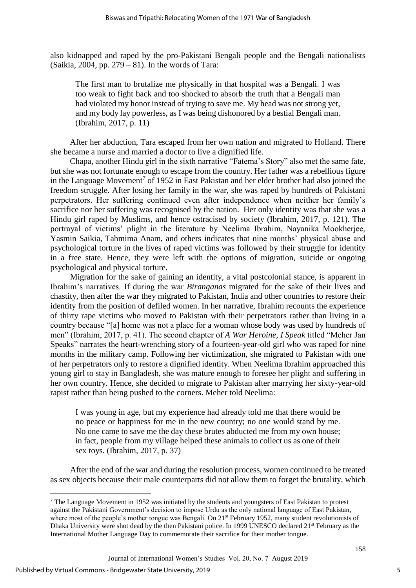also kidnapped and raped by the pro-Pakistani Bengali people and the Bengali nationalists (Saikia, 2004, pp.  $279 - 81$ ). In the words of Tara:

The first man to brutalize me physically in that hospital was a Bengali. I was too weak to fight back and too shocked to absorb the truth that a Bengali man had violated my honor instead of trying to save me. My head was not strong yet, and my body lay powerless, as I was being dishonored by a bestial Bengali man. (Ibrahim, 2017, p. 11)

After her abduction, Tara escaped from her own nation and migrated to Holland. There she became a nurse and married a doctor to live a dignified life.

Chapa, another Hindu girl in the sixth narrative "Fatema's Story" also met the same fate, but she was not fortunate enough to escape from the country. Her father was a rebellious figure in the Language Movement<sup>7</sup> of 1952 in East Pakistan and her elder brother had also joined the freedom struggle. After losing her family in the war, she was raped by hundreds of Pakistani perpetrators. Her suffering continued even after independence when neither her family's sacrifice nor her suffering was recognised by the nation. Her only identity was that she was a Hindu girl raped by Muslims, and hence ostracised by society (Ibrahim, 2017, p. 121). The portrayal of victims' plight in the literature by Neelima Ibrahim, Nayanika Mookherjee, Yasmin Saikia, Tahmima Anam, and others indicates that nine months' physical abuse and psychological torture in the lives of raped victims was followed by their struggle for identity in a free state. Hence, they were left with the options of migration, suicide or ongoing psychological and physical torture.

Migration for the sake of gaining an identity, a vital postcolonial stance, is apparent in Ibrahim's narratives. If during the war *Biranganas* migrated for the sake of their lives and chastity, then after the war they migrated to Pakistan, India and other countries to restore their identity from the position of defiled women. In her narrative, Ibrahim recounts the experience of thirty rape victims who moved to Pakistan with their perpetrators rather than living in a country because "[a] home was not a place for a woman whose body was used by hundreds of men" (Ibrahim, 2017, p. 41). The second chapter of *A War Heroine, I Speak* titled "Meher Jan Speaks" narrates the heart-wrenching story of a fourteen-year-old girl who was raped for nine months in the military camp. Following her victimization, she migrated to Pakistan with one of her perpetrators only to restore a dignified identity. When Neelima Ibrahim approached this young girl to stay in Bangladesh, she was mature enough to foresee her plight and suffering in her own country. Hence, she decided to migrate to Pakistan after marrying her sixty-year-old rapist rather than being pushed to the corners. Meher told Neelima:

I was young in age, but my experience had already told me that there would be no peace or happiness for me in the new country; no one would stand by me. No one came to save me the day these brutes abducted me from my own house; in fact, people from my village helped these animals to collect us as one of their sex toys. (Ibrahim, 2017, p. 37)

After the end of the war and during the resolution process, women continued to be treated as sex objects because their male counterparts did not allow them to forget the brutality, which

1

<sup>7</sup> The Language Movement in 1952 was initiated by the students and youngsters of East Pakistan to protest against the Pakistani Government's decision to impose Urdu as the only national language of East Pakistan, where most of the people's mother tongue was Bengali. On 21<sup>st</sup> February 1952, many student revolutionists of Dhaka University were shot dead by the then Pakistani police. In 1999 UNESCO declared 21<sup>st</sup> February as the International Mother Language Day to commemorate their sacrifice for their mother tongue.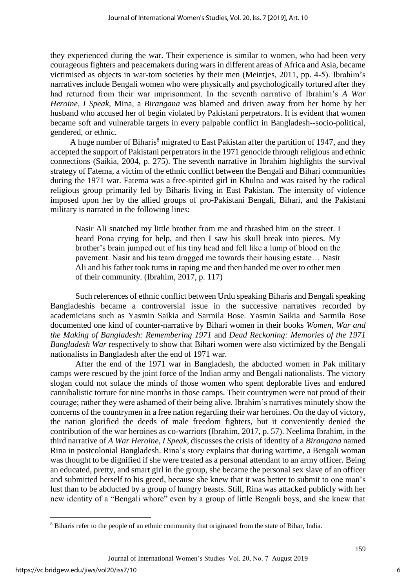they experienced during the war. Their experience is similar to women, who had been very courageous fighters and peacemakers during wars in different areas of Africa and Asia, became victimised as objects in war-torn societies by their men (Meintjes, 2011, pp. 4-5). Ibrahim's narratives include Bengali women who were physically and psychologically tortured after they had returned from their war imprisonment. In the seventh narrative of Ibrahim's *A War Heroine, I Speak*, Mina, a *Birangana* was blamed and driven away from her home by her husband who accused her of begin violated by Pakistani perpetrators. It is evident that women became soft and vulnerable targets in every palpable conflict in Bangladesh--socio-political, gendered, or ethnic.

A huge number of Biharis<sup>8</sup> migrated to East Pakistan after the partition of 1947, and they accepted the support of Pakistani perpetrators in the 1971 genocide through religious and ethnic connections (Saikia, 2004, p. 275). The seventh narrative in Ibrahim highlights the survival strategy of Fatema, a victim of the ethnic conflict between the Bengali and Bihari communities during the 1971 war. Fatema was a free-spirited girl in Khulna and was raised by the radical religious group primarily led by Biharis living in East Pakistan. The intensity of violence imposed upon her by the allied groups of pro-Pakistani Bengali, Bihari, and the Pakistani military is narrated in the following lines:

Nasir Ali snatched my little brother from me and thrashed him on the street. I heard Pona crying for help, and then I saw his skull break into pieces. My brother's brain jumped out of his tiny head and fell like a lump of blood on the pavement. Nasir and his team dragged me towards their housing estate… Nasir Ali and his father took turns in raping me and then handed me over to other men of their community. (Ibrahim, 2017, p. 117)

Such references of ethnic conflict between Urdu speaking Biharis and Bengali speaking Bangladeshis became a controversial issue in the successive narratives recorded by academicians such as Yasmin Saikia and Sarmila Bose. Yasmin Saikia and Sarmila Bose documented one kind of counter-narrative by Bihari women in their books *Women, War and the Making of Bangladesh: Remembering 1971* and *Dead Reckoning: Memories of the 1971 Bangladesh War* respectively to show that Bihari women were also victimized by the Bengali nationalists in Bangladesh after the end of 1971 war.

After the end of the 1971 war in Bangladesh, the abducted women in Pak military camps were rescued by the joint force of the Indian army and Bengali nationalists. The victory slogan could not solace the minds of those women who spent deplorable lives and endured cannibalistic torture for nine months in those camps. Their countrymen were not proud of their courage; rather they were ashamed of their being alive. Ibrahim's narratives minutely show the concerns of the countrymen in a free nation regarding their war heroines. On the day of victory, the nation glorified the deeds of male freedom fighters, but it conveniently denied the contribution of the war heroines as co-warriors (Ibrahim, 2017, p. 57). Neelima Ibrahim, in the third narrative of *A War Heroine, I Speak,* discusses the crisis of identity of a *Birangana* named Rina in postcolonial Bangladesh. Rina's story explains that during wartime, a Bengali woman was thought to be dignified if she were treated as a personal attendant to an army officer. Being an educated, pretty, and smart girl in the group, she became the personal sex slave of an officer and submitted herself to his greed, because she knew that it was better to submit to one man's lust than to be abducted by a group of hungry beasts. Still, Rina was attacked publicly with her new identity of a "Bengali whore" even by a group of little Bengali boys, and she knew that

**.** 

<sup>&</sup>lt;sup>8</sup> Biharis refer to the people of an ethnic community that originated from the state of Bihar, India.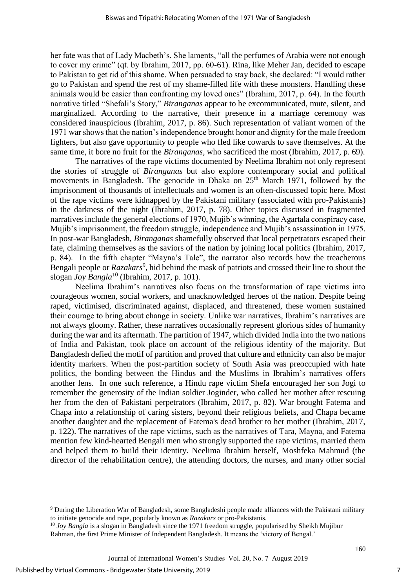her fate was that of Lady Macbeth's. She laments, "all the perfumes of Arabia were not enough to cover my crime" (qt. by Ibrahim, 2017, pp. 60-61). Rina, like Meher Jan, decided to escape to Pakistan to get rid of this shame. When persuaded to stay back, she declared: "I would rather go to Pakistan and spend the rest of my shame-filled life with these monsters. Handling these animals would be easier than confronting my loved ones" (Ibrahim, 2017, p. 64). In the fourth narrative titled "Shefali's Story," *Biranganas* appear to be excommunicated, mute, silent, and marginalized. According to the narrative, their presence in a marriage ceremony was considered inauspicious (Ibrahim, 2017, p. 86). Such representation of valiant women of the 1971 war shows that the nation's independence brought honor and dignity for the male freedom fighters, but also gave opportunity to people who fled like cowards to save themselves. At the same time, it bore no fruit for the *Biranganas*, who sacrificed the most (Ibrahim, 2017, p. 69).

The narratives of the rape victims documented by Neelima Ibrahim not only represent the stories of struggle of *Biranganas* but also explore contemporary social and political movements in Bangladesh. The genocide in Dhaka on  $25<sup>th</sup>$  March 1971, followed by the imprisonment of thousands of intellectuals and women is an often-discussed topic here. Most of the rape victims were kidnapped by the Pakistani military (associated with pro-Pakistanis) in the darkness of the night (Ibrahim, 2017, p. 78). Other topics discussed in fragmented narratives include the general elections of 1970, Mujib's winning, the Agartala conspiracy case, Mujib's imprisonment, the freedom struggle, independence and Mujib's assassination in 1975. In post-war Bangladesh, *Biranganas* shamefully observed that local perpetrators escaped their fate, claiming themselves as the saviors of the nation by joining local politics (Ibrahim, 2017, p. 84). In the fifth chapter "Mayna's Tale", the narrator also records how the treacherous Bengali people or *Razakars*<sup>9</sup>, hid behind the mask of patriots and crossed their line to shout the slogan *Joy Bangla*<sup>10</sup> (Ibrahim, 2017, p. 101).

Neelima Ibrahim's narratives also focus on the transformation of rape victims into courageous women, social workers, and unacknowledged heroes of the nation. Despite being raped, victimised, discriminated against, displaced, and threatened, these women sustained their courage to bring about change in society. Unlike war narratives, Ibrahim's narratives are not always gloomy. Rather, these narratives occasionally represent glorious sides of humanity during the war and its aftermath. The partition of 1947, which divided India into the two nations of India and Pakistan, took place on account of the religious identity of the majority. But Bangladesh defied the motif of partition and proved that culture and ethnicity can also be major identity markers. When the post-partition society of South Asia was preoccupied with hate politics, the bonding between the Hindus and the Muslims in Ibrahim's narratives offers another lens. In one such reference, a Hindu rape victim Shefa encouraged her son Jogi to remember the generosity of the Indian soldier Joginder, who called her mother after rescuing her from the den of Pakistani perpetrators (Ibrahim, 2017, p. 82). War brought Fatema and Chapa into a relationship of caring sisters, beyond their religious beliefs, and Chapa became another daughter and the replacement of Fatema's dead brother to her mother (Ibrahim, 2017, p. 122). The narratives of the rape victims, such as the narratives of Tara, Mayna, and Fatema mention few kind-hearted Bengali men who strongly supported the rape victims, married them and helped them to build their identity. Neelima Ibrahim herself, Moshfeka Mahmud (the director of the rehabilitation centre), the attending doctors, the nurses, and many other social

<sup>9</sup> During the Liberation War of Bangladesh, some Bangladeshi people made alliances with the Pakistani military to initiate genocide and rape, popularly known as *Razakars* or pro-Pakistanis.

<sup>&</sup>lt;sup>10</sup> *Joy Bangla* is a slogan in Bangladesh since the 1971 freedom struggle, popularised by Sheikh Mujibur Rahman, the first Prime Minister of Independent Bangladesh. It means the 'victory of Bengal.'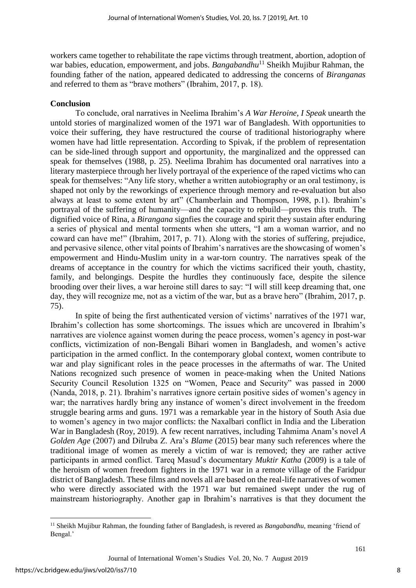workers came together to rehabilitate the rape victims through treatment, abortion, adoption of war babies, education, empowerment, and jobs. *Bangabandhu*<sup>11</sup> Sheikh Mujibur Rahman, the founding father of the nation, appeared dedicated to addressing the concerns of *Biranganas* and referred to them as "brave mothers" (Ibrahim, 2017, p. 18).

## **Conclusion**

To conclude, oral narratives in Neelima Ibrahim's *A War Heroine, I Speak* unearth the untold stories of marginalized women of the 1971 war of Bangladesh. With opportunities to voice their suffering, they have restructured the course of traditional historiography where women have had little representation. According to Spivak, if the problem of representation can be side-lined through support and opportunity, the marginalized and the oppressed can speak for themselves (1988, p. 25). Neelima Ibrahim has documented oral narratives into a literary masterpiece through her lively portrayal of the experience of the raped victims who can speak for themselves: "Any life story, whether a written autobiography or an oral testimony, is shaped not only by the reworkings of experience through memory and re-evaluation but also always at least to some extent by art" (Chamberlain and Thompson, 1998, p.1). Ibrahim's portrayal of the suffering of humanity—and the capacity to rebuild—proves this truth. The dignified voice of Rina, a *Birangana* signfies the courage and spirit they sustain after enduring a series of physical and mental torments when she utters, "I am a woman warrior, and no coward can have me!" (Ibrahim, 2017, p. 71). Along with the stories of suffering, prejudice, and pervasive silence, other vital points of Ibrahim's narratives are the showcasing of women's empowerment and Hindu-Muslim unity in a war-torn country. The narratives speak of the dreams of acceptance in the country for which the victims sacrificed their youth, chastity, family, and belongings. Despite the hurdles they continuously face, despite the silence brooding over their lives, a war heroine still dares to say: "I will still keep dreaming that, one day, they will recognize me, not as a victim of the war, but as a brave hero" (Ibrahim, 2017, p. 75).

In spite of being the first authenticated version of victims' narratives of the 1971 war, Ibrahim's collection has some shortcomings. The issues which are uncovered in Ibrahim's narratives are violence against women during the peace process, women's agency in post-war conflicts, victimization of non-Bengali Bihari women in Bangladesh, and women's active participation in the armed conflict. In the contemporary global context, women contribute to war and play significant roles in the peace processes in the aftermaths of war. The United Nations recognized such presence of women in peace-making when the United Nations Security Council Resolution 1325 on "Women, Peace and Security" was passed in 2000 (Nanda, 2018, p. 21). Ibrahim's narratives ignore certain positive sides of women's agency in war; the narratives hardly bring any instance of women's direct involvement in the freedom struggle bearing arms and guns. 1971 was a remarkable year in the history of South Asia due to women's agency in two major conflicts: the Naxalbari conflict in India and the Liberation War in Bangladesh (Roy, 2019). A few recent narratives, including Tahmima Anam's novel *A Golden Age* (2007) and Dilruba Z. Ara's *Blame* (2015) bear many such references where the traditional image of women as merely a victim of war is removed; they are rather active participants in armed conflict. Tareq Masud's documentary *Muktir Katha* (2009) is a tale of the heroism of women freedom fighters in the 1971 war in a remote village of the Faridpur district of Bangladesh. These films and novels all are based on the real-life narratives of women who were directly associated with the 1971 war but remained swept under the rug of mainstream historiography. Another gap in Ibrahim's narratives is that they document the

<sup>&</sup>lt;sup>11</sup> Sheikh Mujibur Rahman, the founding father of Bangladesh, is revered as *Bangabandhu*, meaning 'friend of Bengal.'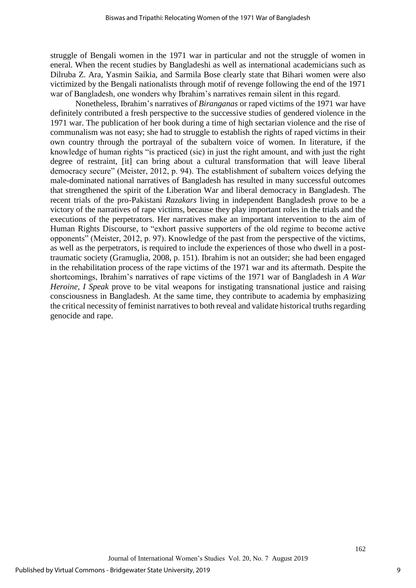struggle of Bengali women in the 1971 war in particular and not the struggle of women in eneral. When the recent studies by Bangladeshi as well as international academicians such as Dilruba Z. Ara, Yasmin Saikia, and Sarmila Bose clearly state that Bihari women were also victimized by the Bengali nationalists through motif of revenge following the end of the 1971 war of Bangladesh, one wonders why Ibrahim's narratives remain silent in this regard.

Nonetheless, Ibrahim's narratives of *Biranganas* or raped victims of the 1971 war have definitely contributed a fresh perspective to the successive studies of gendered violence in the 1971 war. The publication of her book during a time of high sectarian violence and the rise of communalism was not easy; she had to struggle to establish the rights of raped victims in their own country through the portrayal of the subaltern voice of women. In literature, if the knowledge of human rights "is practiced (sic) in just the right amount, and with just the right degree of restraint, [it] can bring about a cultural transformation that will leave liberal democracy secure" (Meister, 2012, p. 94). The establishment of subaltern voices defying the male-dominated national narratives of Bangladesh has resulted in many successful outcomes that strengthened the spirit of the Liberation War and liberal democracy in Bangladesh. The recent trials of the pro-Pakistani *Razakars* living in independent Bangladesh prove to be a victory of the narratives of rape victims, because they play important roles in the trials and the executions of the perpetrators. Her narratives make an important intervention to the aim of Human Rights Discourse, to "exhort passive supporters of the old regime to become active opponents" (Meister, 2012, p. 97). Knowledge of the past from the perspective of the victims, as well as the perpetrators, is required to include the experiences of those who dwell in a posttraumatic society (Gramuglia, 2008, p. 151). Ibrahim is not an outsider; she had been engaged in the rehabilitation process of the rape victims of the 1971 war and its aftermath. Despite the shortcomings, Ibrahim's narratives of rape victims of the 1971 war of Bangladesh in *A War Heroine, I Speak* prove to be vital weapons for instigating transnational justice and raising consciousness in Bangladesh. At the same time, they contribute to academia by emphasizing the critical necessity of feminist narratives to both reveal and validate historical truthsregarding genocide and rape.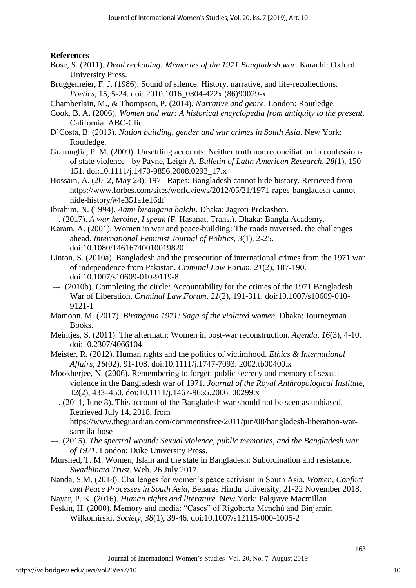# **References**

- Bose, S. (2011). *Dead reckoning: Memories of the 1971 Bangladesh war.* Karachi: Oxford University Press.
- Bruggemeier, F. J. (1986). Sound of silence: History, narrative, and life-recollections. *Poetics*, 15, 5-24. doi: 2010.1016\_0304-422x (86)90029-x
- Chamberlain, M., & Thompson, P. (2014). *Narrative and genre*. London: Routledge.
- Cook, B. A. (2006). *Women and war: A historical encyclopedia from antiquity to the present*. California: ABC-Clio.
- D'Costa, B. (2013). *Nation building, gender and war crimes in South Asia*. New York: Routledge.
- Gramuglia, P. M. (2009). Unsettling accounts: Neither truth nor reconciliation in confessions of state violence - by Payne, Leigh A. *Bulletin of Latin American Research, 28*(1), 150- 151. doi:10.1111/j.1470-9856.2008.0293\_17.x
- Hossain, A. (2012, May 28). 1971 Rapes: Bangladesh cannot hide history. Retrieved from https://www.forbes.com/sites/worldviews/2012/05/21/1971-rapes-bangladesh-cannothide-history/#4e351a1e16df
- Ibrahim, N. (1994). *Aami birangana balchi.* Dhaka: Jagroti Prokashon.
- ---. (2017). *A war heroine, I speak* (F. Hasanat, Trans.). Dhaka: Bangla Academy.
- Karam, A. (2001). Women in war and peace-building: The roads traversed, the challenges ahead. *International Feminist Journal of Politics, 3*(1), 2-25. doi:10.1080/14616740010019820
- Linton, S. (2010a). Bangladesh and the prosecution of international crimes from the 1971 war of independence from Pakistan. *Criminal Law Forum, 21*(2), 187-190. doi:10.1007/s10609-010-9119-8
- ---. (2010b). Completing the circle: Accountability for the crimes of the 1971 Bangladesh War of Liberation. *Criminal Law Forum, 21*(2), 191-311. doi:10.1007/s10609-010- 9121-1
- Mamoon, M. (2017). *Birangana 1971: Saga of the violated women*. Dhaka: Journeyman Books.
- Meintjes, S. (2011). The aftermath: Women in post-war reconstruction. *Agenda, 16*(3), 4-10. doi:10.2307/4066104
- Meister, R. (2012). Human rights and the politics of victimhood. *Ethics & International Affairs, 16*(02), 91-108. doi:10.1111/j.1747-7093. 2002.tb00400.x
- Mookherjee, N. (2006). Remembering to forget: public secrecy and memory of sexual violence in the Bangladesh war of 1971. *Journal of the Royal Anthropological Institute*, 12(2), 433–450. doi:10.1111/j.1467-9655.2006. 00299.x
- ---. (2011, June 8). This account of the Bangladesh war should not be seen as unbiased. Retrieved July 14, 2018, from https://www.theguardian.com/commentisfree/2011/jun/08/bangladesh-liberation-warsarmila-bose
- ---. (2015). *The spectral wound: Sexual violence, public memories, and the Bangladesh war of 1971*. London: Duke University Press.
- Murshed, T. M. Women, Islam and the state in Bangladesh: Subordination and resistance. *Swadhinata Trust*. Web. 26 July 2017.
- Nanda, S.M. (2018). Challenges for women's peace activism in South Asia, *Women, Conflict and Peace Processes in South Asia*, Benaras Hindu University, 21-22 November 2018.
- Nayar, P. K. (2016). *Human rights and literature.* New York: Palgrave Macmillan.
- Peskin, H. (2000). Memory and media: "Cases" of Rigoberta Menchú and Binjamin Wilkomirski. *Society, 38*(1), 39-46. doi:10.1007/s12115-000-1005-2